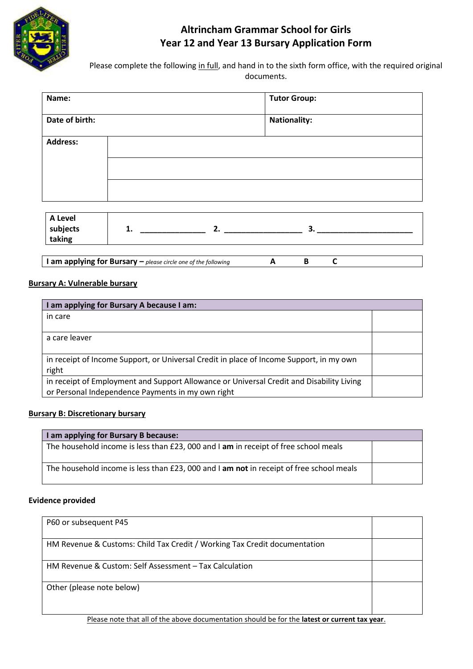

# **Altrincham Grammar School for Girls Year 12 and Year 13 Bursary Application Form**

Please complete the following in full, and hand in to the sixth form office, with the required original documents.

| Name:              | <b>Tutor Group:</b> |
|--------------------|---------------------|
| Date of birth:     | <b>Nationality:</b> |
| <b>Address:</b>    |                     |
|                    |                     |
|                    |                     |
| A Level            |                     |
| subjects<br>taking | 1.<br>2.<br>3.      |

**I am applying for Bursary –** *please circle one of the following* **A B C**

### **Bursary A: Vulnerable bursary**

| I am applying for Bursary A because I am:                                                |  |  |  |
|------------------------------------------------------------------------------------------|--|--|--|
| in care                                                                                  |  |  |  |
|                                                                                          |  |  |  |
| a care leaver                                                                            |  |  |  |
|                                                                                          |  |  |  |
| in receipt of Income Support, or Universal Credit in place of Income Support, in my own  |  |  |  |
| right                                                                                    |  |  |  |
| in receipt of Employment and Support Allowance or Universal Credit and Disability Living |  |  |  |
| or Personal Independence Payments in my own right                                        |  |  |  |

## **Bursary B: Discretionary bursary**

| I am applying for Bursary B because:                                                              |  |  |
|---------------------------------------------------------------------------------------------------|--|--|
| The household income is less than £23,000 and I am in receipt of free school meals                |  |  |
| The household income is less than £23, 000 and $\mathsf I$ am not in receipt of free school meals |  |  |

### **Evidence provided**

| P60 or subsequent P45                                                     |  |
|---------------------------------------------------------------------------|--|
| HM Revenue & Customs: Child Tax Credit / Working Tax Credit documentation |  |
| HM Revenue & Custom: Self Assessment - Tax Calculation                    |  |
| Other (please note below)                                                 |  |

Please note that all of the above documentation should be for the **latest or current tax year**.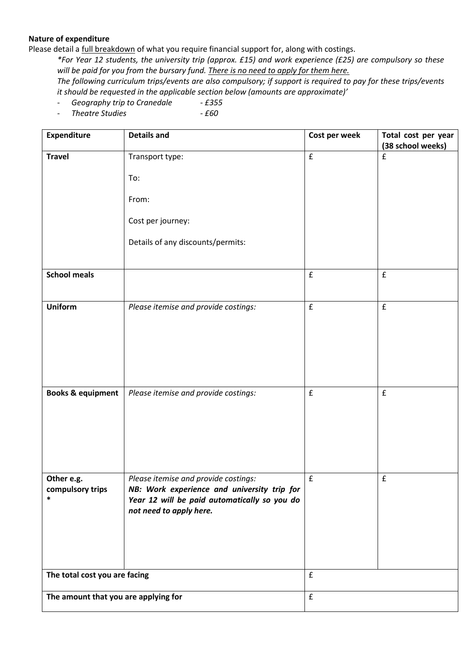#### **Nature of expenditure**

Please detail a *full breakdown* of what you require financial support for, along with costings.

*\*For Year 12 students, the university trip (approx. £15) and work experience (£25) are compulsory so these will be paid for you from the bursary fund. There is no need to apply for them here.*

*The following curriculum trips/events are also compulsory; if support is required to pay for these trips/events it should be requested in the applicable section below (amounts are approximate)'*

- *Geography trip to Cranedale - £355*
- *Theatre Studies - £60*

| <b>Expenditure</b>                       | <b>Details and</b>                                                                                                                                             | Cost per week      | Total cost per year<br>(38 school weeks) |
|------------------------------------------|----------------------------------------------------------------------------------------------------------------------------------------------------------------|--------------------|------------------------------------------|
| <b>Travel</b>                            | Transport type:                                                                                                                                                | $\mathbf f$        | $\mathbf f$                              |
|                                          | To:                                                                                                                                                            |                    |                                          |
|                                          | From:                                                                                                                                                          |                    |                                          |
|                                          | Cost per journey:                                                                                                                                              |                    |                                          |
|                                          | Details of any discounts/permits:                                                                                                                              |                    |                                          |
| <b>School meals</b>                      |                                                                                                                                                                | $\mathbf f$        | $\pmb{\mathsf{f}}$                       |
| <b>Uniform</b>                           | Please itemise and provide costings:                                                                                                                           | $\pmb{\mathsf{f}}$ | £                                        |
|                                          |                                                                                                                                                                |                    |                                          |
| <b>Books &amp; equipment</b>             | Please itemise and provide costings:                                                                                                                           | $\mathbf f$        | £                                        |
| Other e.g.<br>compulsory trips<br>$\ast$ | Please itemise and provide costings:<br>NB: Work experience and university trip for<br>Year 12 will be paid automatically so you do<br>not need to apply here. | $\pmb{\mathsf{f}}$ | $\mathbf f$                              |
| The total cost you are facing            |                                                                                                                                                                | $\pmb{\mathsf{f}}$ |                                          |
| The amount that you are applying for     |                                                                                                                                                                | ${\bf f}$          |                                          |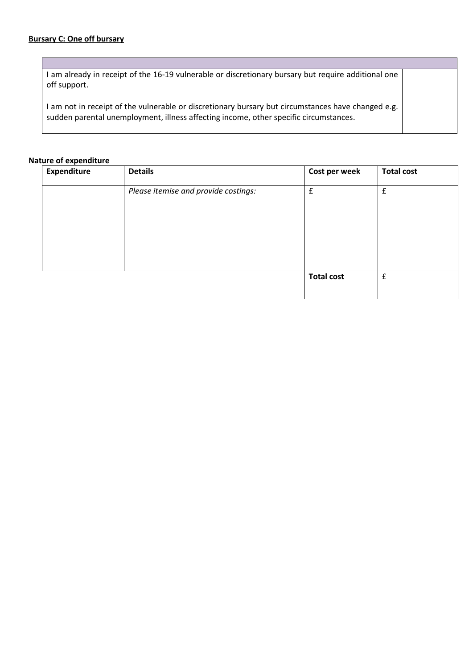| I am already in receipt of the 16-19 vulnerable or discretionary bursary but require additional one<br>off support.                                                                         |  |
|---------------------------------------------------------------------------------------------------------------------------------------------------------------------------------------------|--|
| I am not in receipt of the vulnerable or discretionary bursary but circumstances have changed e.g.<br>sudden parental unemployment, illness affecting income, other specific circumstances. |  |

#### **Nature of expenditure**

| <b>Expenditure</b> | <b>Details</b>                       | Cost per week     | <b>Total cost</b> |
|--------------------|--------------------------------------|-------------------|-------------------|
|                    | Please itemise and provide costings: | £                 | £                 |
|                    |                                      | <b>Total cost</b> | £                 |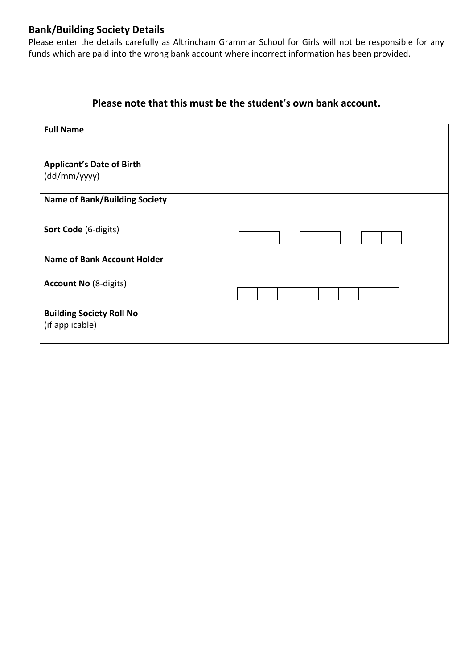# **Bank/Building Society Details**

Please enter the details carefully as Altrincham Grammar School for Girls will not be responsible for any funds which are paid into the wrong bank account where incorrect information has been provided.

# **Please note that this must be the student's own bank account.**

| <b>Full Name</b>                                   |  |
|----------------------------------------------------|--|
|                                                    |  |
| <b>Applicant's Date of Birth</b><br>(dd/mm/yyyy)   |  |
| <b>Name of Bank/Building Society</b>               |  |
| Sort Code (6-digits)                               |  |
| <b>Name of Bank Account Holder</b>                 |  |
| <b>Account No (8-digits)</b>                       |  |
| <b>Building Society Roll No</b><br>(if applicable) |  |